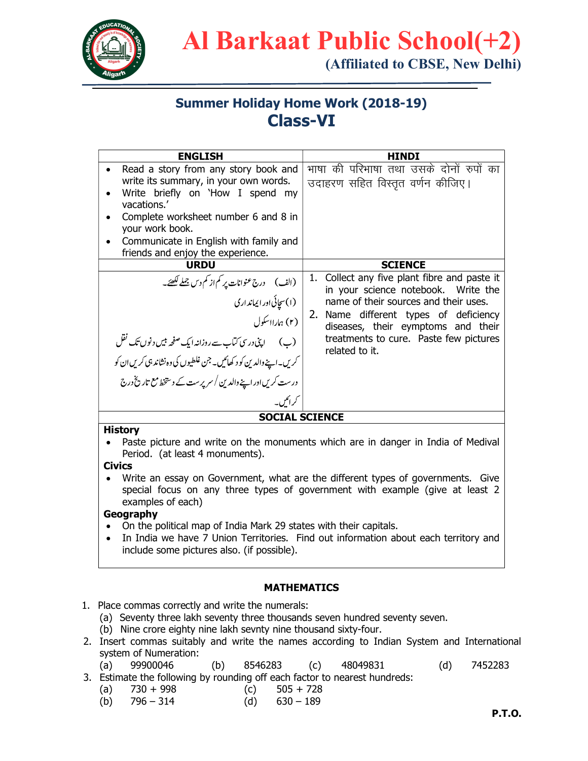

# Al Barkaat Public School(+2)

(Affiliated to CBSE, New Delhi)

## Summer Holiday Home Work (2018-19) Class-VI

| <b>ENGLISH</b>                                                                                                                                                                                                                                                                                                                                 | <b>HINDI</b>                                                                                                                                                                                                                                                               |  |  |  |  |  |  |  |  |  |
|------------------------------------------------------------------------------------------------------------------------------------------------------------------------------------------------------------------------------------------------------------------------------------------------------------------------------------------------|----------------------------------------------------------------------------------------------------------------------------------------------------------------------------------------------------------------------------------------------------------------------------|--|--|--|--|--|--|--|--|--|
| Read a story from any story book and<br>write its summary, in your own words.<br>Write briefly on 'How I spend my<br>vacations.'<br>Complete worksheet number 6 and 8 in<br>your work book.<br>Communicate in English with family and<br>friends and enjoy the experience.                                                                     | भाषा की परिभाषा तथा उसके दोनों रुपों का<br>उदाहरण सहित विस्तृत वर्णन कीजिए।                                                                                                                                                                                                |  |  |  |  |  |  |  |  |  |
| <b>URDU</b>                                                                                                                                                                                                                                                                                                                                    | <b>SCIENCE</b>                                                                                                                                                                                                                                                             |  |  |  |  |  |  |  |  |  |
| (الف) درج عنوانات پر <sup>کم</sup> از کم دس جملے لکھئے۔<br>(۱) سچائی اور ایماند اری<br>(۲) ہار <sub>ا</sub> نسکول<br>(پ) لپ <sup>ی</sup> ندرسی کتاب سے روزانہ ایک صفحہ <del>بی</del> ں دنوں تک نقل<br>کریں۔اپنےوالدین کو د کھائیں۔جن غلطیوں کی وہ نشاند ہی کریں ان کو<br>درست کریں اور اپنے والدین / سریرست کے دستخط مع تاریخ درج<br>کر ائکر پ | 1. Collect any five plant fibre and paste it<br>in your science notebook. Write the<br>name of their sources and their uses.<br>Name different types of deficiency<br>2.<br>diseases, their eymptoms and their<br>treatments to cure. Paste few pictures<br>related to it. |  |  |  |  |  |  |  |  |  |
| <b>SOCIAL SCIENCE</b>                                                                                                                                                                                                                                                                                                                          |                                                                                                                                                                                                                                                                            |  |  |  |  |  |  |  |  |  |
| <b>History</b><br>Paste picture and write on the monuments which are in danger in India of Medival                                                                                                                                                                                                                                             |                                                                                                                                                                                                                                                                            |  |  |  |  |  |  |  |  |  |

Period. (at least 4 monuments).

#### Civics

 Write an essay on Government, what are the different types of governments. Give special focus on any three types of government with example (give at least 2 examples of each)

#### Geography

- On the political map of India Mark 29 states with their capitals.
- In India we have 7 Union Territories. Find out information about each territory and include some pictures also. (if possible).

#### MATHEMATICS

- 1. Place commas correctly and write the numerals:
	- (a) Seventy three lakh seventy three thousands seven hundred seventy seven.
	- (b) Nine crore eighty nine lakh sevnty nine thousand sixty-four.
- 2. Insert commas suitably and write the names according to Indian System and International system of Numeration:
	- (a) 99900046 (b) 8546283 (c) 48049831 (d) 7452283
- 3. Estimate the following by rounding off each factor to nearest hundreds:
	- (a)  $730 + 998$  (c)  $505 + 728$
	- (b)  $796 314$  (d)  $630 189$